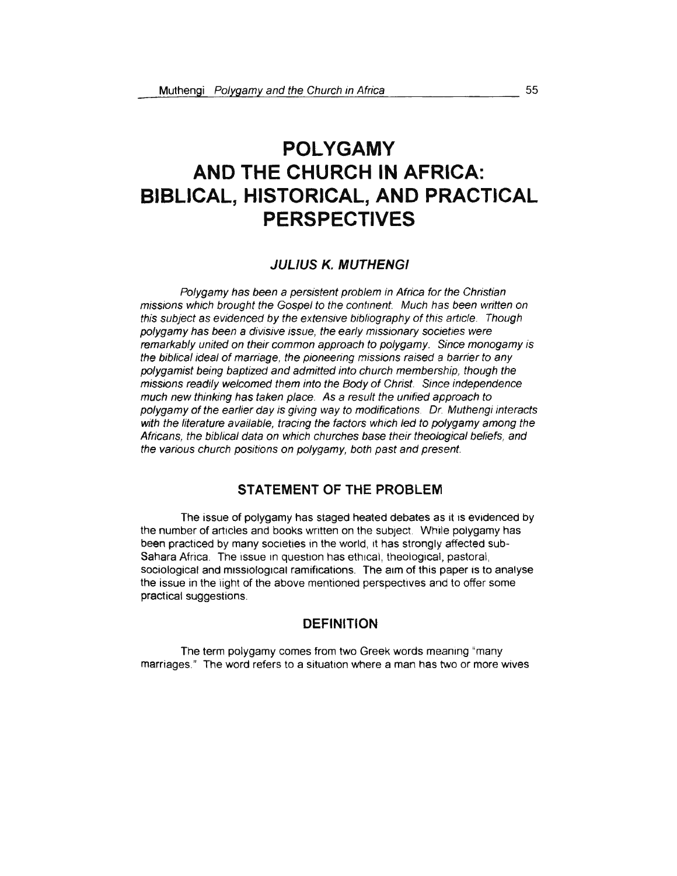# **POLYGAMY AND THE CHURCH IN AFRICA: BIBLICAL, HISTORICAL, AND PRACTICAL PERSPECTIVES**

## **JUL/US** *K.* **MUTHENGI**

Polygamy has been a persistent problem in Africa for the Christian missions which brought the Gospel to the contment. Much has been written on this subject as evidenced by the extensive bibliography of this article. Though polygamy has been a divisive issue, the early missionary societies were remarkably united on their common approach to polygamy. Since monogamy is the biblical ideal of marriage, the pioneering missions raised a barrier to any polygamist being baptized and admitted into church membership, though the missions readily welcomed them into the Body of Christ. Since independence much new thinking has taken place. As a result the unified approach to polygamy of the earlier day is giving way to modifications. Dr. Muthengi interacts with the literature available, tracing the factors which led to polygamy among the Africans, the biblical data on which churches base their theological beliefs, and the various church positions on polygamy, both past and present.

# **STATEMENT OF THE PROBLEM**

The issue of polygamy has staged heated debates as it is evidenced by the number of articles and books written on the subject. While polygamy has been practiced by many societies in the world, it has strongly affected sub-Sahara Africa. The issue in question has ethical, theological, pastoral, sociological and missiological ramifications. The aim of this paper is to analyse the issue in the iight of the above mentioned perspectives and to offer some practical suggestions.

### **DEFINITION**

The term polygamy comes from two Greek words meaning "many marriages." The word refers to a situation where a man has two or more wives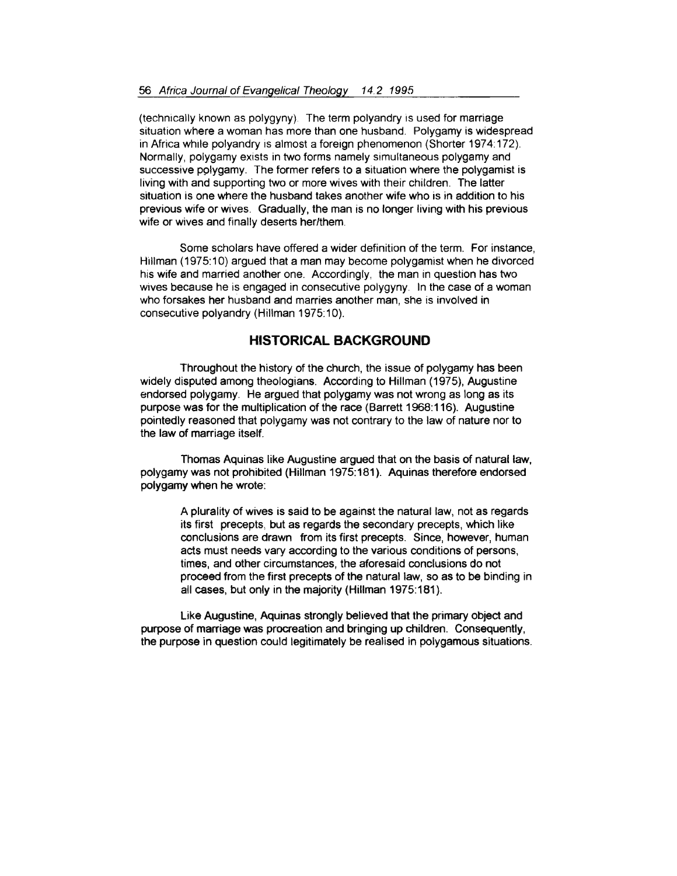(technically known as polygyny) The term polyandry is used for marriage situation where a woman has more than one husband. Polygamy is widespread in Africa while polyandry is almost a foreign phenomenon (Shorter 1974:172). Normally, polygamy exists in two forms namely simultaneous polygamy and successive pplygamy. The former refers to a situation where the polygamist is living with and supporting two or more wives with their children. The latter situation is one where the husband takes another wife who is in addition to his previous wife or wives. Gradually, the man is no longer living with his previous wife or wives and finally deserts her/them.

Some scholars have offered a wider definition of the term. For instance, Hillman (1975:10) argued that a man may become polygamist when he divorced his wife and married another one. Accordingly, the man in question has two wives because he is engaged in consecutive polygyny. In the case of a woman who forsakes her husband and marries another man, she is involved in consecutive polyandry (Hillman 1975:10).

# **HISTORICAL BACKGROUND**

Throughout the history of the church, the issue of polygamy has been widely disputed among theologians. According to Hillman (1975), Augustine endorsed polygamy. He argued that polygamy was not wrong as long as its purpose was for the multiplication of the race (Barrett 1968:116). Augustine pointedly reasoned that polygamy was not contrary to the law of nature nor to the law of marriage itself.

Thomas Aquinas like Augustine argued that on the basis of natural law, polygamy was not prohibited (Hillman 1975:181 ). Aquinas therefore endorsed polygamy when he wrote:

> A plurality of wives is said to be against the natural law, not as regards its first precepts, but as regards the secondary precepts, which like conclusions are drawn from its first precepts. Since, however, human acts must needs vary according to the various conditions of persons, times, and other circumstances, the aforesaid conclusions do not proceed from the first precepts of the natural law, so as to be binding in all cases, but only in the majority (Hillman 1975:181).

Like Augustine, Aquinas strongly believed that the primary object and purpose of marriage was procreation and bringing up children. Consequently, the purpose in question could legitimately be realised in polygamous situations.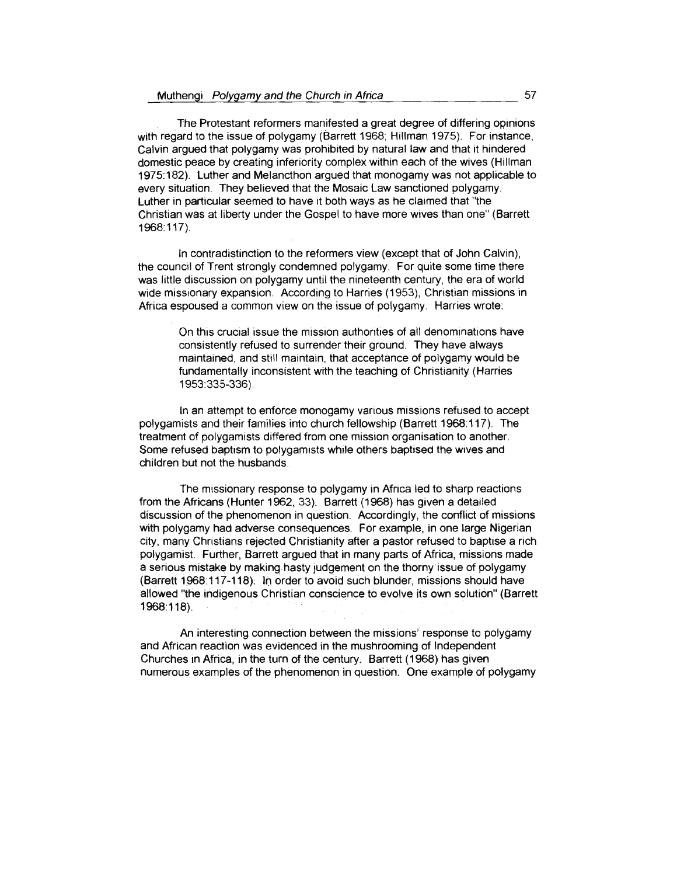The Protestant reformers manifested a great degree of differing opinions with regard to the issue of polygamy (Barrett 1968; Hillman 1975). For instance, Calvin argued that polygamy was prohibited by natural law and that it hindered domestic peace by creating inferiority complex within each of the wives (Hillman 1975: 182). Luther and Melancthon argued that monogamy was not applicable to every situation. They believed that the Mosaic Law sanctioned polygamy. Luther in particular seemed to have it both ways as he claimed that "the Christian was at liberty under the Gospel to have more wives than one" (Barrett 1968:117).

In contradistinction to the reformers view (except that of John Calvin), the council of Trent strongly condemned polygamy. For quite some time there was little discussion on polygamy until the nineteenth century, the era of world wide missionary expansion. According to Harries ( 1953), Christian missions in Africa espoused a common view on the issue of polygamy. Harries wrote:

> On this crucial issue the mission authonties of all denominations have consistently refused to surrender their ground. They have always maintained, and still maintain, that acceptance of polygamy would be fundamentally inconsistent with the teaching of Christianity (Harries 1953:335-336).

In an attempt to enforce monogamy various missions refused to accept polygamists and their families into church fellowship (Barrett 1968: 117). The treatment of polygamists differed from one mission organisation to another. Some refused baptism to polygamists while others baptised the wives and children but not the husbands.

The missionary response to polygamy in Africa led to sharp reactions from the Africans (Hunter 1962, 33). Barrett (1968) has given a detailed discussion of the phenomenon in question. Accordingly, the conflict of missions with polygamy had adverse consequences. For example, in one large Nigerian city, many Christians rejected Christianity after a pastor refused to baptise a rich polygamist. Further, Barrett argued that in many parts of Africa, missions made a serious mistake by making hasty judgement on the thorny issue of polygamy (Barrett 1968:117-118): In order to avoid such blunder, missions should have allowed "the indigenous Christian conscience to evolve its own solution" (Barrett 1968:118).

An interesting connection between the missions' response to polygamy and African reaction was evidenced in the mushrooming of Independent Churches in Africa, in the turn of the century. Barrett (1968) has given numerous examples of the phenomenon in question. One example of polygamy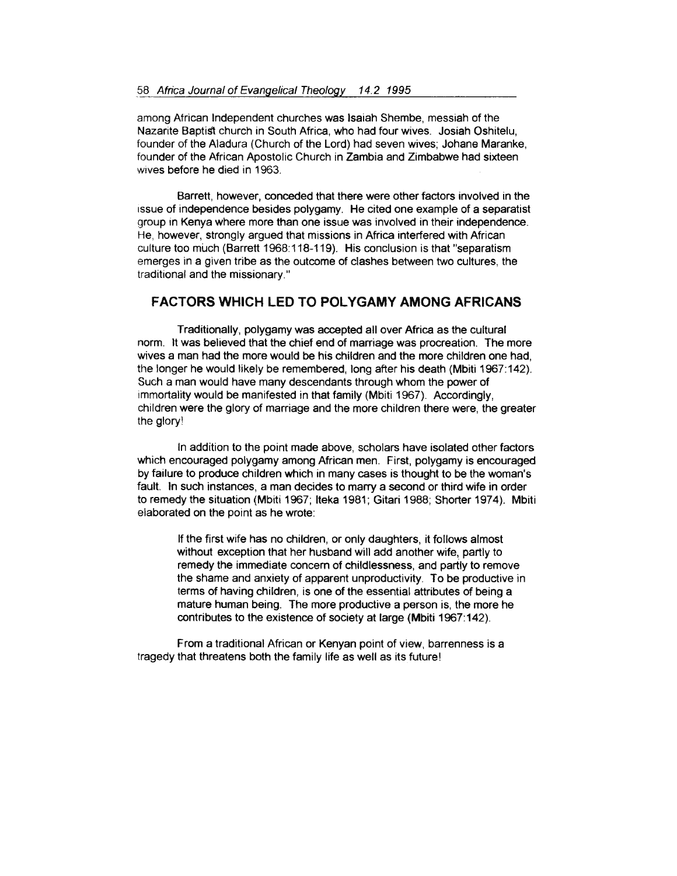among African Independent churches was Isaiah Shembe, messiah of the Nazarite Baptist church in South Africa, who had four wives. Josiah Oshitelu, founder of the Aladura (Church of the Lord) had seven wives; Johane Maranke, founder of the African Apostolic Church in Zambia and Zimbabwe had sixteen wives before he died in 1963.

Barrett, however, conceded that there were other factors involved in the issue of independence besides polygamy. He cited one example of a separatist group in Kenya where more than one issue was involved in their independence. He, however, strongly argued that missions in Africa interfered with African culture too much (Barrett 1968: 118-119). His conclusion is that "separatism emerges in a given tribe as the outcome of clashes between two cultures, the traditional and the missionary."

# **FACTORS WHICH LED TO POLYGAMY AMONG AFRICANS**

Traditionally, polygamy was accepted all over Africa as the cultural norm. lt was believed that the chief end of marriage was procreation. The more wives a man had the more would be his children and the more children one had, the longer he would likely be remembered, long after his death (Mbiti 1967:142). Such a man would have many descendants through whom the power of immortality would be manifested in that family (Mbiti 1967). Accordingly, children were the glory of marriage and the more children there were, the greater the glory'

In addition to the point made above, scholars have isolated other factors which encouraged polygamy among African men. First, polygamy is encouraged by failure to produce children which in many cases is thought to be the woman's fault. In such instances, a man decides to marry a second or third wife in order to remedy the situation (Mbiti 1967; lteka 1981; Gitari 1988; Shorter 1974). Mbiti elaborated on the point as he wrote:

If the first wife has no children, or only daughters, it follows almost without exception that her husband will add another wife, partly to remedy the immediate concern of childlessness, and partly to remove the shame and anxiety of apparent unproductivity. To be productive in terms of having children, is one of the essential attributes of being a mature human being. The more productive a person is, the more he contributes to the existence of society at large (Mbiti 1967:142).

From a traditional African or Kenyan point of view, barrenness is a tragedy that threatens both the family life as well as its future!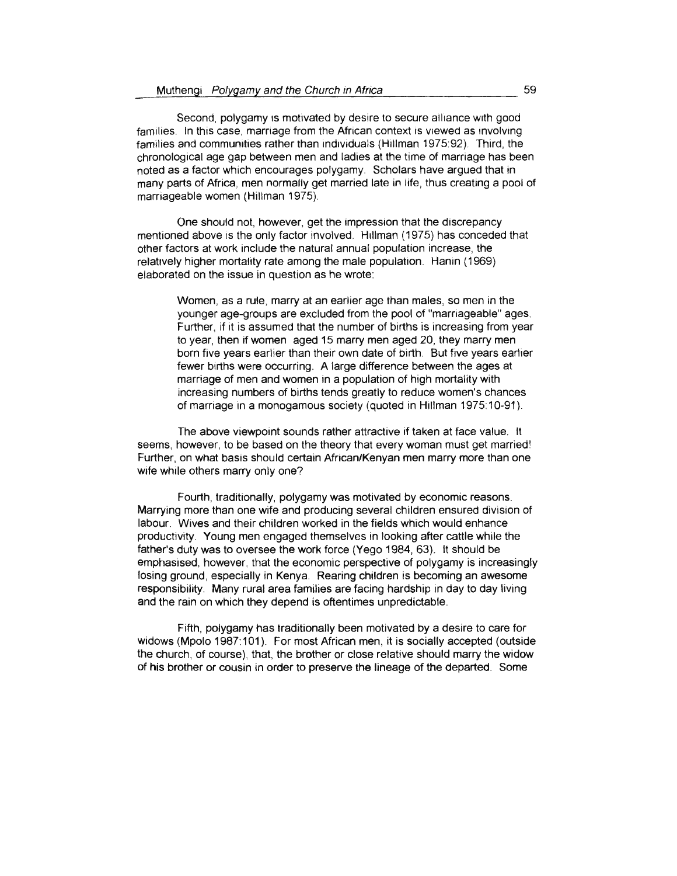Second, polygamy is motivated by desire to secure alliance with good families. In this case, marriage from the African context is viewed as involving families and communities rather than individuals (Hillman 1975:92). Third, the chronological age gap between men and ladies at the time of marriage has been noted as a factor which encourages polygamy. Scholars have argued that in many parts of Africa, men normally get married late in life, thus creating a pool of marriageable women (Hillman 1975).

One should not, however, get the impression that the discrepancy mentioned above is the only factor involved. Hillman (1975) has conceded that other factors at work include the natural annual population increase, the relatively higher mortality rate among the male population. Hanin (1969) elaborated on the issue in question as he wrote:

> Women, as a rule, marry at an earlier age than males, so men in the younger age-groups are excluded from the pool of "marriageable" ages Further, if it is assumed that the number of births is increasing from year to year, then if women aged 15 marry men aged 20, they marry men born five years earlier than their own date of birth. But five years earlier fewer births were occurring. A large difference between the ages at marriage of men and women in a population of high mortality with increasing numbers of births tends greatly to reduce women's chances of marriage in a monogamous society (quoted in Hillman 1975:10-91).

The above viewpoint sounds rather attractive if taken at face value. lt seems, however, to be based on the theory that every woman must get married! Further, on what basis should certain African/Kenyan men marry more than one wife while others marry only one?

Fourth, traditionally, polygamy was motivated by economic reasons. Marrying more than one wife and producing several children ensured division of labour. Wives and their children worked in the fields which would enhance productivity. Young men engaged themselves in looking after cattle while the father's duty was to oversee the work force (Yego 1984, 63). lt should be emphasised, however, that the economic perspective of polygamy is increasingly losing ground, especially in Kenya. Rearing children is becoming an awesome responsibility. Many rural area families are facing hardship in day to day living and the rain on which they depend is oftentimes unpredictable.

Fifth, polygamy has traditionally been motivated by a desire to care for widows (Mpolo 1987:101). For most African men, it is socially accepted (outside the church, of course), that, the brother or close relative should marry the widow of his brother or cousin in order to preserve the lineage of the departed. Some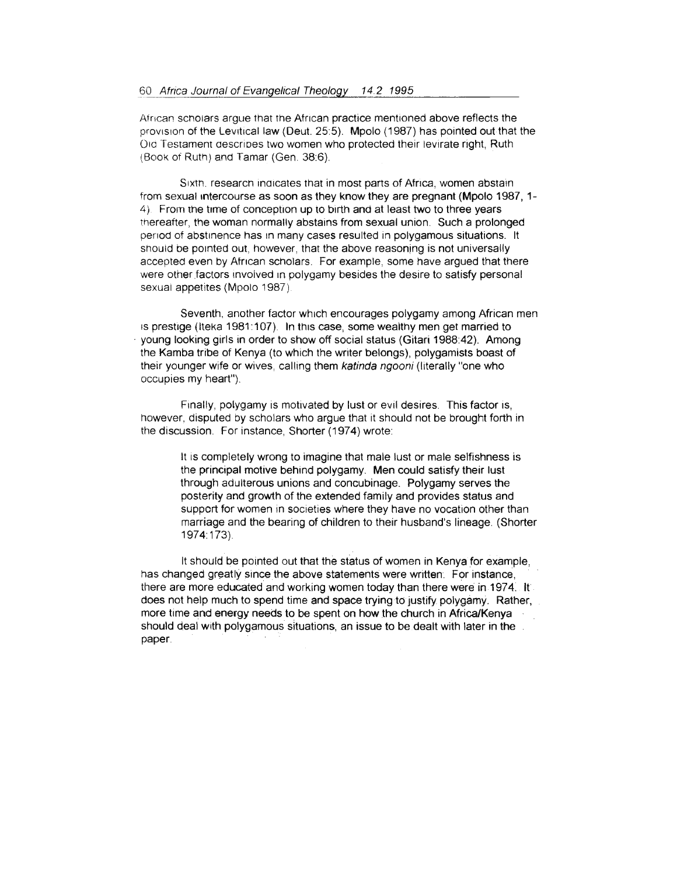African scholars argue that the African practice mentioned above reflects the provision of the Levitical law (Deut. 25:5). Mpolo (1987) has pointed out that the 010 Testament aescrioes two women who protected their levirate right, Ruth (Book of Ruth) and Tamar (Gen. 38:6).

Sixth, research indicates that in most parts of Africa, women abstain from sexual intercourse as soon as they know they are pregnant (Mpolo 1987, 1-4). From the time of conception up to birth and at least two to three years thereafter, the woman normally abstains from sexual union. Such a prolonged penod of abstinence has 1n many cases resulted in polygamous situations. lt should be pointed out, however, that the above reasoning is not universally accepted even by African scholars. For example, some have argued that there were other factors involved in polygamy besides the desire to satisfy personal sexual appetites (Mpolo 1987).

Seventh, another factor which encourages polygamy among African men 1s prestige (Iteka 1981:107). In this case, some wealthy men get married to · young looking girls in order to show off social status (Gitari 1988:42). Among the Kamba tribe of Kenya (to which the writer belongs), polygamists boast of their younger wife or wives, calling them katinda ngooni (literally "one who occupies my heart").

Finally, polygamy is motivated by lust or evil desires. This factor is, however, disputed by scholars who argue that it should not be brought forth in the discussion. For instance, Shorter (1974) wrote:

> lt is completely wrong to imagine that male lust or male selfishness is the principal motive behind polygamy. Men could satisfy their lust through adulterous unions and concubinage. Polygamy serves the posterity and growth of the extended family and provides status and support for women in societies where they have no vocation other than marriage and the bearing of children to their husband's lineage. (Shorter 1974:173).

lt should be pointed out that the status of women in Kenya for example, has changed greatly since the above statements were written. For instance, there are more educated and working women today than there were in 1974. lt does not help much to spend time and space trying to justify polygamy. Rather, more time and energy needs to be spent on how the church in Africa/Kenya should deal with polygamous situations, an issue to be dealt with later in the paper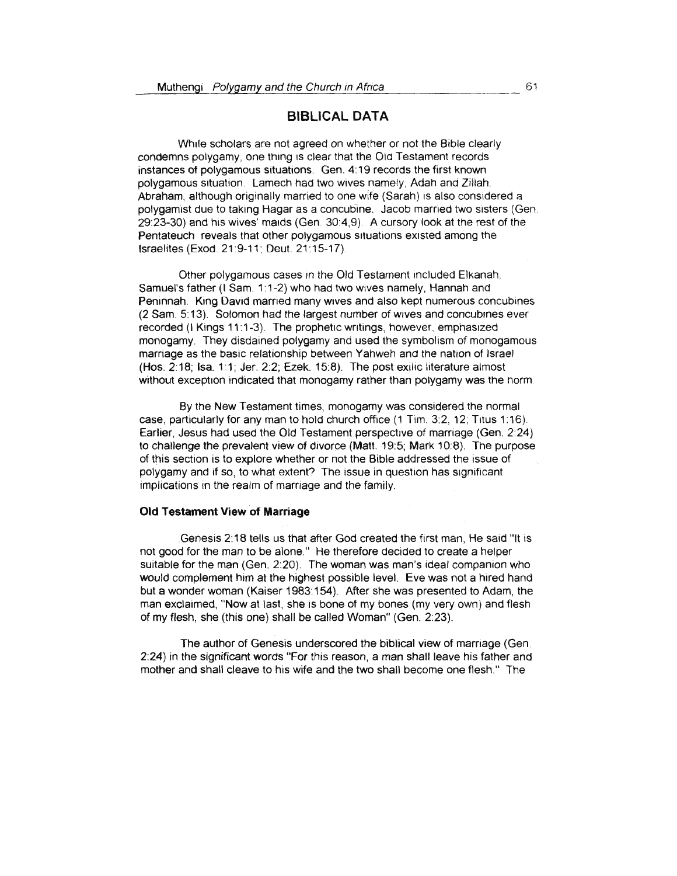### **BIBLICAL DATA**

Wh1le scholars are not agreed on whether or not the Bible clearly condemns polygamy, one thing 1s clear that the Old Testament records instances of polygamous situations. Gen. 4:19 records the first known polygamous situation. Lamech had two wives namely, Adah and Ziliah. Abraham, although originally married to one wife (Sarah) 1s also considered a polygamist due to taking Hagar as a concubine. Jacob married two sisters (Gen. 29:23-30) and h1s wives' ma1ds (Gen 30:4,9). A cursory look at the rest of the Pentateuch reveals that other polygamous situations existed among the Israelites (Exod. 21 :9-11 ; Oeut. 21 : 15-17)

Other polygamous cases in the Old Testament included Elkanah, Samuel's father (I Sam. 1:1-2) who had two wives namely, Hannah and Peninnah\_ King Oavid married many wives and also kept numerous concubines (2 Sam. 5:13). Solomon had the largest number of wives and concubines ever recorded (I Kings 11:1-3). The prophetic writings, however, emphasized monogamy. They disdained polygamy and used the symbolism of monogamous marriage as the basic relationship between Yahweh and the nation of Israel (Hos. 2:18; Isa. 1:1; Jer. 2:2; Ezek. 15:8). The post exilic literature almost without exception indicated that monogamy rather than polygamy was the norm.

By the New Testament times, monogamy was considered the normal case, particularly for any man to hold church office  $(1$  Tim. 3:2, 12; Titus 1:16). Earlier, Jesus had used the Old Testament perspective of marriage (Gen. 2:24) to challenge the prevalent view of divorce (Matt. 19:5; Mark 10:8). The purpose of this section is to explore whether or not the Bible addressed the issue of polygamy and if so, to what extent? The issue in question has significant implications in the realm of marriage and the family.

### **Old Testament View of Marriage**

Genesis 2:18 tells us that after God created the first man, He said "it is not good for the man to be alone." He therefore decided to create a helper suitable for the man (Gen. 2:20). The woman was man's ideal companion who would complement him at the highest possible level. Eve was not a hired hand but a wonder woman (Kaiser 1983:154). After she was presented to Adam, the man exclaimed, "Now at last, she is bone of my bones (my very own) and flesh of my flesh, she (this one) shall be called Woman" (Gen. 2:23).

The author of Genesis underscored the biblical view of marriage (Gen 2:24) in the significant words "For this reason, a man shall leave his father and mother and shall cleave to his wife and the two shall become one flesh." The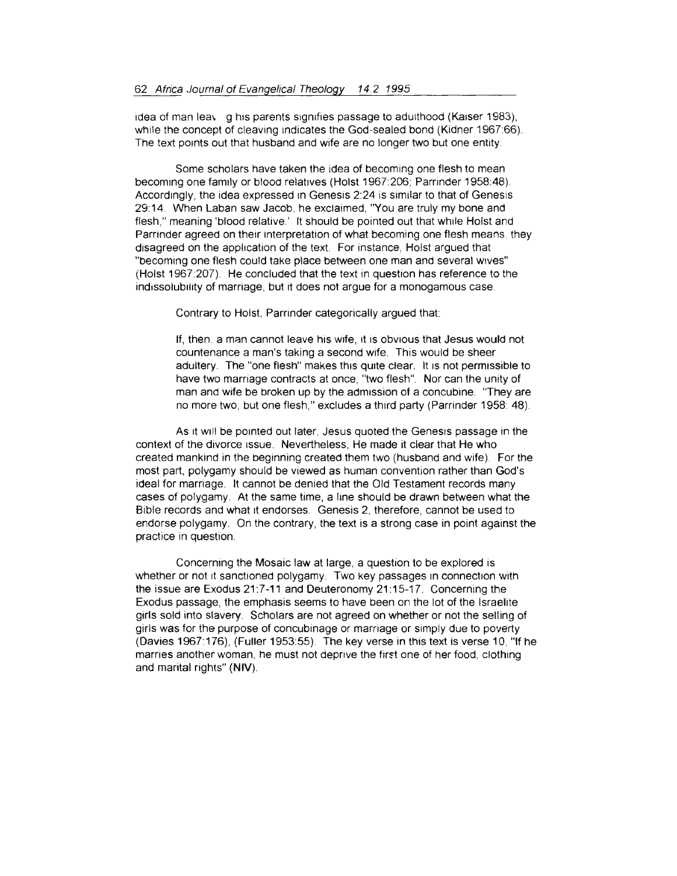1dea of man lea\ g h1s parents s1gntfies passage to adulthood (Ka1ser 1983), while the concept of cleaving indicates the God-sealed bond (Kidner 1967:66). The text points out that husband and wife are no longer two but one entity.

Some scholars have taken the idea of becoming one flesh to mean becoming one fam1ly or blood relatives (Hoist 1967:206; Parrinder 1958:48). Accordingly, the idea expressed in Genesis 2:24 is similar to that of Genesis 2914. When Laban saw Jacob, he exclaimed, "You are truly my bone and flesh," meaning 'blood relative.' lt should be pointed out that while Hoist and Parrinder agreed on their interpretation of what becoming one flesh means. they disagreed on the application of the text. For instance, Hoist argued that "becoming one flesh could take place between one man and several wives" (Hoist 1967:207) He concluded that the text in question has reference to the indissolubility of marriage, but it does not argue for a monogamous case.

Contrary to Hoist, Parrinder categorically argued that:

If, then. a man cannot leave his wife, 1t is obvious that Jesus would not countenance a man's taking a second wife. This would be sheer adultery. The "one flesh" makes this quite clear. It is not permissible to have two marriage contracts at once, "two flesh". Nor can the unity of man and wife be broken up by the admission of a concubine "They are no more two, but one flesh," excludes a third party (Parrinder 1958: 48).

As it will be pointed out later, Jesus quoted the Genesis passage in the context of the divorce 1ssue. Nevertheless, He made it clear that He who created mankind in the beginning created them two (husband and wife). For the most part, polygamy should be viewed as human convention rather than God's ideal tor marriage. lt cannot be denied that the Old Testament records many cases of polygamy. At the same time, a line should be drawn between what the Bible records and what it endorses. Genesis 2, therefore, cannot be used to endorse polygamy. On the contrary, the text is a strong case in point against the practice in question.

Concerning the Mosaic law at large, a question to be explored is whether or not it sanctioned polygamy. Two key passages in connection with the issue are Exodus 21:7-11 and Deuteronomy 21:15-17. Concerning the Exodus passage, the emphasis seems to have been on the lot of the Israelite girls sold into slavery. Scholars are not agreed on whether or not the selling of girls was for the purpose of concubinage or marnage or simply due to poverty (Oavies 1967: 176), (Fuller 1953:55). The key verse in this text is verse 10, "If he marries another woman, he must not deprive the first one of her food, clothing and marital rights" **(NIV).**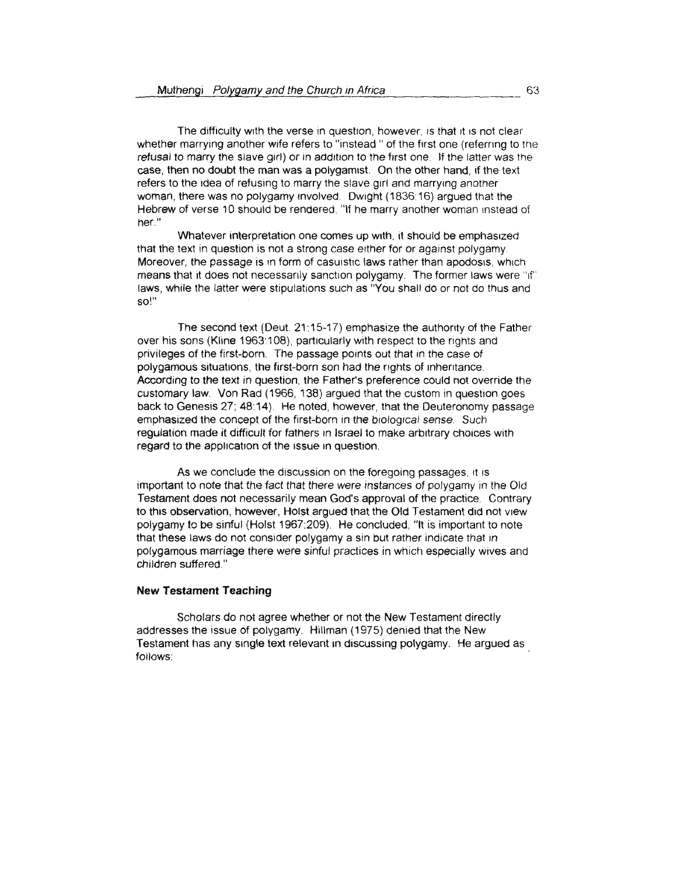The difficulty with the verse in question, however, is that it is not clear whether marrying another wife refers to "instead" of the first one (referring to the refusal to marry the slave girl) or in addition to the first one. If the latter was the case, then no doubt the man was a polygamist. On the other hand, if the text refers to the idea of refusing to marry the slave girl and marrying another woman, there was no polygamy involved. Dwight (1836:16) argued that the Hebrew of verse 10 should be rendered. "If he marry another woman instead of her."

Whatever interpretation one comes up with, it should be emphasized that the text in question is not a strong case either for or against polygamy. Moreover, the passage is in form of casuistic laws rather than apodosis, which means that it does not necessarily sanction polygamy. The former laws were "if" laws, while the latter were stipulations such as "You shall do or not do thus and so!"

The second text (Deut. 21:15-17) emphasize the authority of the Father over his sons (Kline 1963:108), particularly with respect to the rights and privileges of the first-born. The passage points out that in the case of polygamous situations, the first-born son had the rights of inheritance. According to the text in question, the Father's preference could not override the customary law. Von Rad (1966, 138) argued that the custom in question goes back to Genesis 27; 48:14). He noted, however, that the Deuteronomy passage emphasized the concept of the first-born in the biological sense. Such regulation made it difficult for fathers in Israel to make arbitrary choices with regard to the application of the issue in question.

As we conclude the discussion on the foregoing passages, it is important to note that the fact that there were instances of polygamy in the Old Testament does not necessarily mean God's approval of the practice Contrary to this observation, however, Holst argued that the Old Testament did not view polygamy to be sinful (Hoist 1967:209). He concluded, "lt is important to note that these laws do not consider polygamy a sin but rather indicate that in polygamous marriage there were sinful practices in which especially wives and children suffered."

### **New Testament Teaching**

Scholars do not agree whether or not the New Testament directly addresses the issue of polygamy. Hillman (1975) denied that the New Testament has any single text relevant in discussing polygamy. He argued as foilows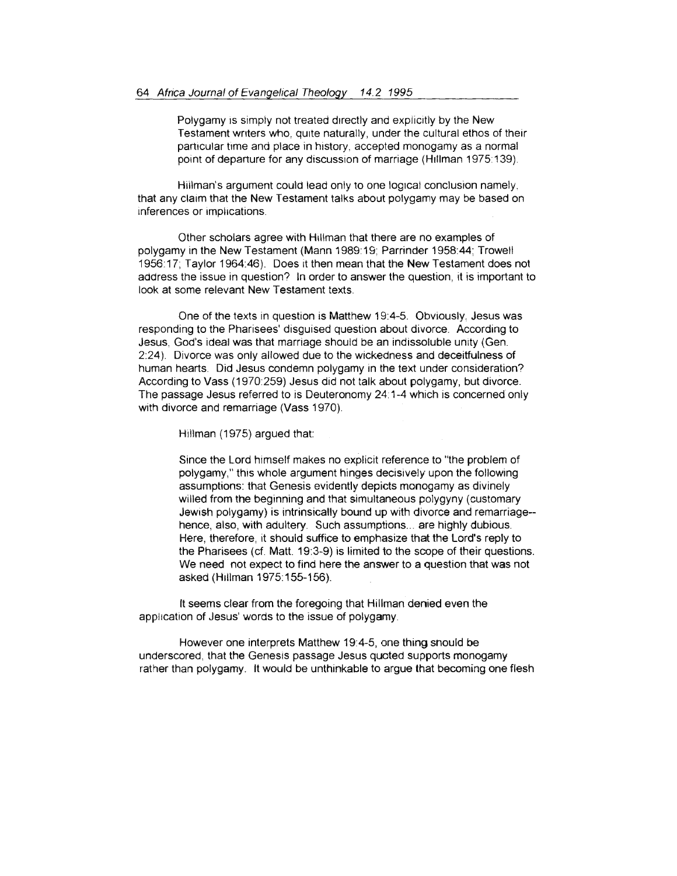Polygamy is simply not treated directly and explicitly by the New Testament writers who, quite naturally, under the cultural ethos of their particular time and place in history, accepted monogamy as a normal point of departure for any discussion of marriage (Hillman 1975:139).

Hillman's argument could lead only to one logical conclusion namely, that any claim that the New Testament talks about polygamy may be based on inferences or implications.

Other scholars agree with H1llman that there are no examples of polygamy in the New Testament (Mann 1989:19; Parrinder 1958:44; Trowell 195617; Taylor 1964:46). Does it then mean that the New Testament does not address the issue in question? In order to answer the question, it is important to look at some relevant New Testament texts.

One of the texts in question is Matthew 19:4-5. Obviously Jesus was responding to the Pharisees' disguised question about divorce. According to Jesus, God's ideal was that marriage should be an indissoluble unity (Gen. 2:24 ). Divorce was only allowed due to the wickedness and deceitfulness of human hearts. Did Jesus condemn polygamy in the text under consideration? According to Vass (1970:259) Jesus did not talk about polygamy, but divorce. The passage Jesus referred to is Deuteronomy 24: 1-4 which is concerned only with divorce and remarriage (Vass 1970).

Hillman (1975) argued that:

Since the Lord himself makes no explicit reference to "the problem of productive and this whole argument hinges decisively upon the following polygamy," this whole argument hinges decisively upon the following<br>assumptions: that Genesis evidently depicts monogamy as divinely willed from the beginning and that simultaneous polygyny (customary Jewish polygamy) is intrinsically bound up with divorce and remarriage- hence, also, with adultery. Such assumptions... are highly dubious. Here, therefore, it should suffice to emphasize that the Lord's reply to the Pharisees (cf. Matt. 19:3-9) is limited to the scope of their questions. We need not expect to find here the answer to a question that was not asked (Hillman 1975:155-156).

lt seems clear from the foregoing that Hillman denied even the application of Jesus' words to the issue of polygamy.

However one interprets Matthew 19:4-5, one thing should be underscored, that the Genesis passage Jesus qucted supports monogamy rather than polygamy. lt would be unthinkable to argue that becoming one flesh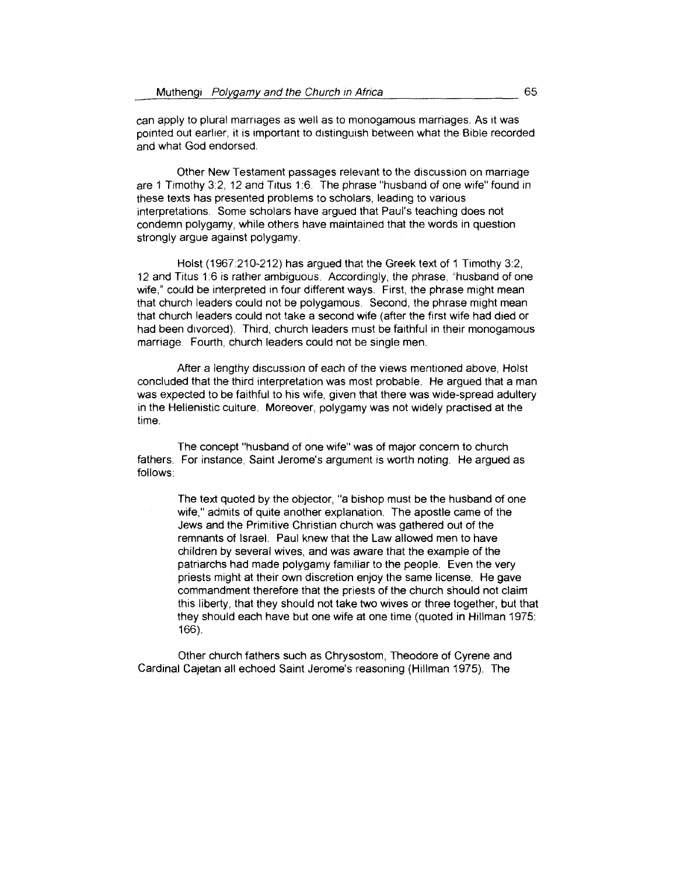can apply to plural marriages as well as to monogamous marriages. As it was pointed out earlier, it is important to distinguish between what the Bible recorded and what God endorsed.

Other New Testament passages relevant to the discussion on marriage are 1 Timothy 3:2, 12 and Titus 1:6. The phrase "husband of one wife" found in these texts has presented problems to scholars, leading to various interpretations. Some scholars have argued that Paul's teaching does not condemn polygamy, while others have maintained that the words in question strongly argue against polygamy.

Holst (1967:210-212) has argued that the Greek text of 1 Timothy 3:2, 12 and Titus 1:6 is rather ambiguous. Accordingly, the phrase, "husband of one wife," could be interpreted in four different ways. First, the phrase might mean that church leaders could not be polygamous. Second, the phrase might mean that church leaders could not take a second wife (after the first wife had died or had been divorced). Third, church leaders must be faithful in their monogamous marriage. Fourth, church leaders could not be single men.

After a lengthy discussion of each of the views mentioned above, Hoist concluded that the third interpretation was most probable. He argued that a man was expected to be faithful to his wife, given that there was wide-spread adultery in the Hellenistic culture. Moreover, polygamy was not widely practised at the time.

The concept "husband of one wife" was of major concern to church fathers. For instance, Saint Jerome's argument is worth noting. He argued as follows:

The text quoted by the objector, "a bishop must be the husband of one wife," admits of quite another explanation. The apostle came of the Jews and the Primitive Christian church was gathered out of the remnants of Israel. Paul knew that the Law allowed men to have children by several wives, and was aware that the example of the patriarchs had made polygamy familiar to the people. Even the very priests might at their own discretion enjoy the same license. He gave commandment therefore that the priests of the church should not claim this liberty, that they should not take two wives or three together, but that they should each have but one wife at one time (quoted in Hillman 1975: 166).

Other church fathers such as Chrysostom, Theodore of Cyrene and Cardinal Cajetan all echoed Saint Jerome's reasoning (Hillman 1975). The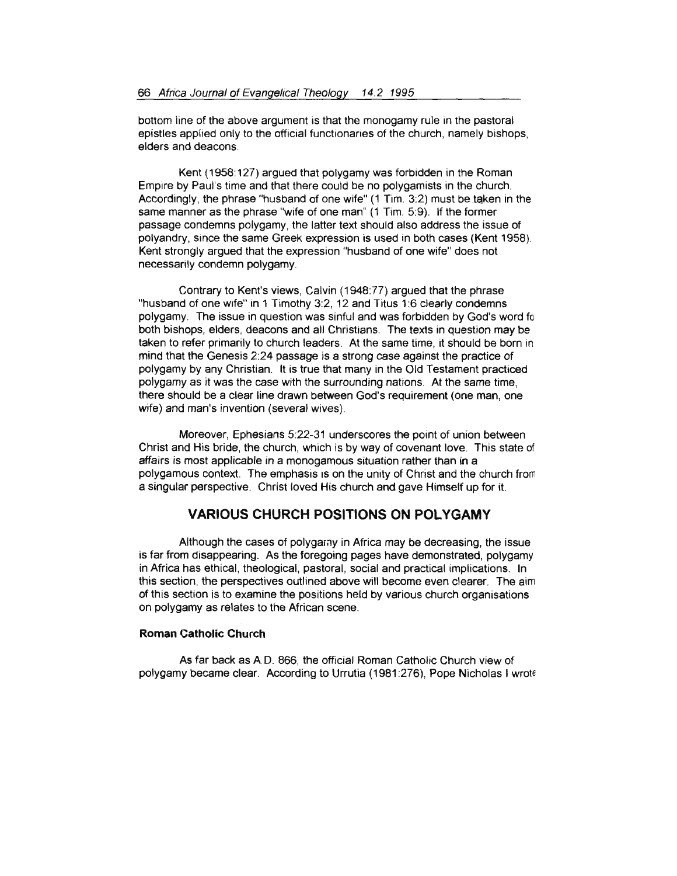bottom line of the above argument is that the monogamy rule in the pastoral epistles applied only to the official functionaries of the church, namely bishops, elders and deacons

Kent (1958:127) argued that polygamy was forbidden in the Roman Empire by Paul's time and that there could be no polygamists in the church. Accordingly, the phrase "husband of one wife" (1 Tim. 3:2) must be taken in the same manner as the phrase "wife of one man" (1 Tim. 5:9). If the former passage condemns polygamy, the latter text should also address the issue of polyandry, since the same Greek expression is used in both cases (Kent 1958) Kent strongly argued that the expression "husband of one wife" does not necessarily condemn polygamy.

Contrary to Kent's views, Calvin (1948:77) argued that the phrase "husband of one wife" in 1 Timothy 3:2, 12 and Titus 1:6 clearly condemns polygamy. The issue in question was sinful and was forbidden by God's word fo both bishops, elders, deacons and all Christians. The texts in question may be taken to refer primarily to church leaders. At the same time, it should be born in mind that the Genesis 2:24 passage is a strong case against the practice of polygamy by any Christian. lt is true that many in the Old Testament practiced polygamy as it was the case with the surrounding nations. At the same time, there should be a clear line drawn between God's requirement (one man, one wife) and man's invention (several wives).

Moreover, Ephesians 5:22-31 underscores the point of union between Christ and His bride, the church, which is by way of covenant love. This state of affairs is most applicable in a monogamous situation rather than in a polygamous context. The emphasis is on the unity of Christ and the church from a singular perspective. Christ loved His church and gave Himself up for it.

# **VARIOUS CHURCH POSITIONS ON POLYGAMY**

Although the cases of polygamy in Africa may be decreasing, the issue is far from disappearing. As the foregoing pages have demonstrated, polygamy in Africa has ethical, theological, pastoral, social and practical implications. In this section, the perspectives outlined above will become even clearer. The aim of this section is to examine the positions held by various church organisations on polygamy as relates to the African scene.

#### **Roman Catholic Church**

As far back as AD. 866, the official Roman Catholic Church view of polygamy became clear. According to Urrutia ( 1981 :276), Pope Nicholas I wrot€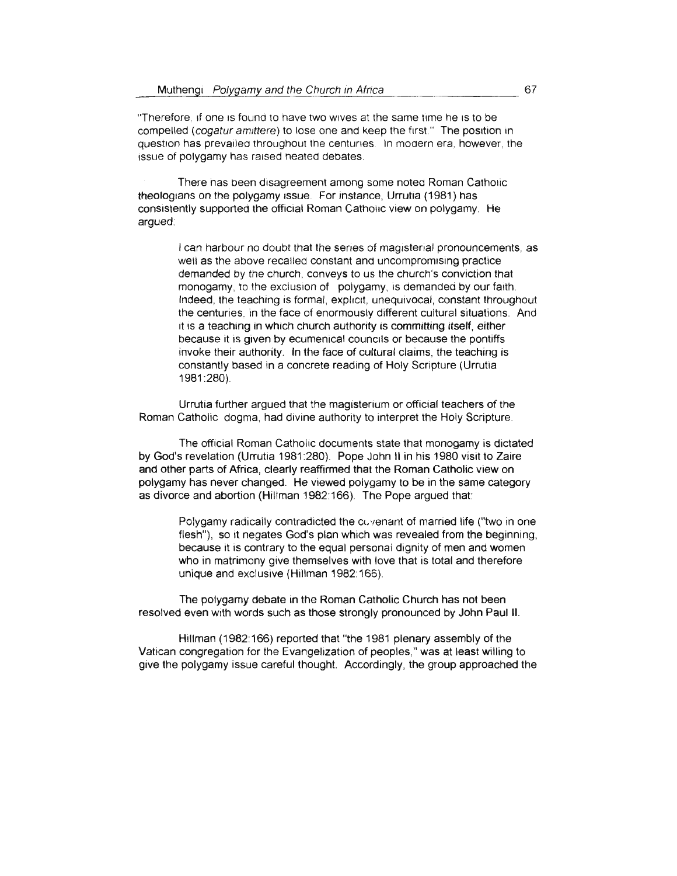"Therefore, if one is found to have two wives at the same time he is to be compelled *(cogatur amittere)* to lose one and keep the first." The position in question has prevailed throughout the centuries. In modern era, however, the issue of polygamy has raised heated debates.

There has been disagreement among some notea Roman Catholic theologians on the polygamy issue. For instance, Urrutia (1981) has consistently supported the official Roman Catholic view on polygamy. He argued

> I can harbour no doubt that the series of magisterial pronouncements, as well as the above recalled constant and uncompromising practice demanded by the church. conveys to us the church's conviction that monogamy, to the exclusion of polygamy, is demanded by our faith. Indeed, the teaching is formal, explicit, unequivocal, constant throughout the centuries, in the face of enormously different cultural situations. And it is a teaching in which church authority is committing itself, either because it is given by ecumenical councils or because the pontiffs invoke their authority. In the face of cultural claims, the teaching is constantly based in a concrete reading of Holy Scripture (Urrutia 1981 :280).

Urrutia further argued that the magisterium or official teachers of the Roman Catholic dogma, had divine authority to interpret the Holy Scripture.

The official Roman Catholic documents state that monogamy is dictated by God's revelation (Urrutia 1981 :280). Pope John 11 in his 1980 visit to Zaire and other parts of Africa, clearly reaffirmed that the Roman Catholic view on polygamy has never changed. He viewed polygamy to be in the same category as divorce and abortion (Hillman 1982:166). The Pope argued that:

> Polygamy radically contradicted the covenant of married life ("two in one flesh"), so it negates God's plan which was revealed from the beginning. because it is contrary to the equal personai dignity of men and women who in matrimony give themselves with love that is total and therefore unique and exclusive (Hillman 1982: 166).

The polygamy debate in the Roman Catholic Church has not been resolved even with words such as those strongly pronounced by John Paul II.

Htllman (1982:166) reported that "the 1981 plenary assembly of the Vatican congregation for the Evangelization of peoples," was at least willing to give the polygamy issue careful thought. Accordingly, the group approached the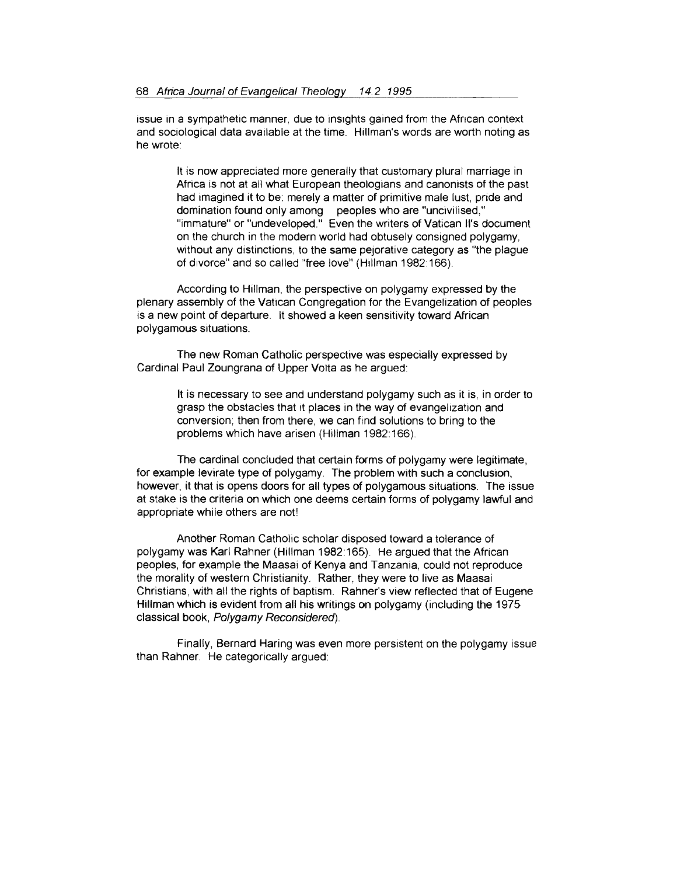issue in a sympathetic manner, due to insights gained from the African context and sociological data available at the time. Hillman's words are worth noting as he wrote:

> lt is now appreciated more generally that customary plural marriage in Africa is not at ail what European theologians and canonists of the past had imagined it to be: merely a matter of primitive male lust, pride and domination found only among peoples who are "uncivilised," "immature" or "undeveloped." Even the writers of Vatican ll's document on the church in the modern world had obtusely consigned polygamy, without any distinctions, to the same pejorative category as "the plague of divorce" and so called "free love" (Hillman 1982:166).

According to Hillman, the perspective on polygamy expressed by the plenary assembly of the Vattcan Congregation for the Evangelization of peoples is a new point of departure. lt showed a keen sensitivity toward African polygamous situations.

The new Roman Catholic perspective was especially expressed by Cardinal Paul Zoungrana of Upper Volta as he argued:

> lt is necessary to see and understand polygamy such as it is, in order to grasp the obstacles that it places in the way of evangelization and conversion; then from there, we can find solutions to bring to the problems which have arisen (Hillman 1982:166)

The cardinal concluded that certain forms of polygamy were legitimate, for example levirate type of polygamy. The problem with such a conclusion, however, it that is opens doors for all types of polygamous situations. The issue at stake is the criteria on which one deems certain forms of polygamy lawful and appropriate while others are not!

Another Roman Catholic scholar disposed toward a tolerance of polygamy was Karl Rahner (Hillman 1982:165). He argued that the African peoples, for example the Maasai of Kenya and Tanzania, could not reproduce the morality of western Christianity. Rather, they were to live as Maasai Christians, with all the rights of baptism. Rahner's view reflected that of Eugene Hillman which is evident from all his writings on polygamy (including the 1975 classical book, Polygamy Reconsidered)

Finally, Bernard Haring was even more persistent on the polygamy issue than Rahner. He categorically argued: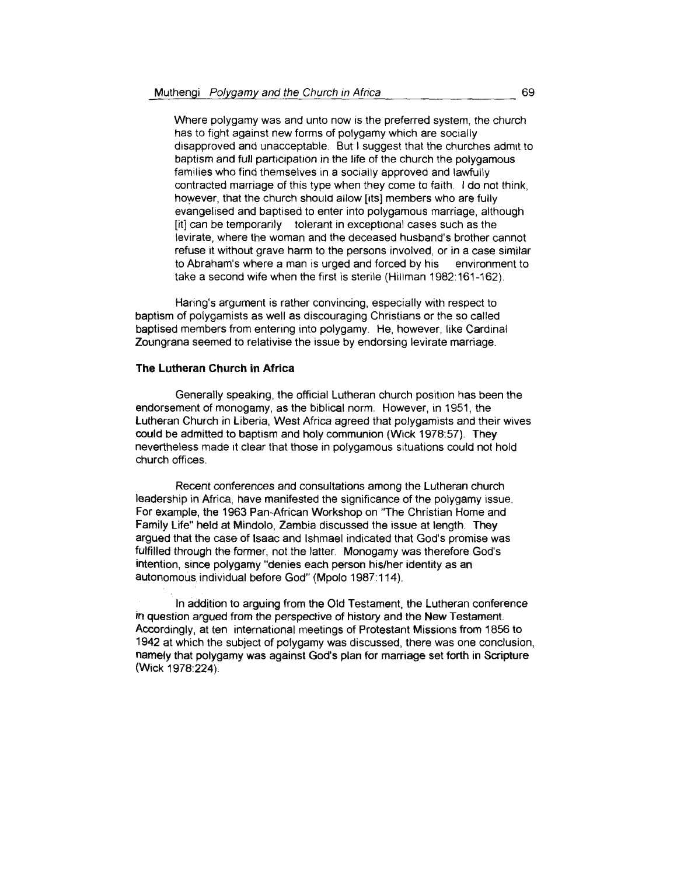Where polygamy was and unto now is the preferred system, the church has to fight against new forms of polygamy which are socially disapproved and unacceptable. But I suggest that the churches admit to baptism and full participation in the life of the church the polygamous families who find themselves in a socially approved and lawfully contracted marriage of this type when they come to faith. I do not think, however, that the church should allow (its] members who are fully evangelised and baptised to enter into polygamous marriage, although [it] can be temporarily tolerant in exceptional cases such as the levirate, where the woman and the deceased husband's brother cannot refuse it without grave harm to the persons involved, or in a case similar to Abraham's where a man is urged and forced by his environment to take a second wife when the first is sterile (Hillman 1982:161-162).

Haring's argument is rather convincing, especially with respect to baptism of polygamists as well as discouraging Christians or the so called baptised members from entering into polygamy. He, however, like Cardinal Zoungrana seemed to relativise the issue by endorsing levirate marriage

#### **The Lutheran Church in Africa**

Generally speaking, the official Lutheran church position has been the endorsement of monogamy, as the biblical norm. However, in 1951, the Lutheran Church in Liberia, West Africa agreed that polygamists and their wives could be admitted to baptism and holy communion (Wick 1978:57). They nevertheless made it clear that those in polygamous situations could not hold church offices.

Recent conferences and consultations among the Lutheran church leadership in Africa, have manifested the significance of the polygamy issue. For example, the 1963 Pan-African Workshop on "The Christian Home and Family Life" held at Mindolo, Zambia discussed the issue at length. They argued that the case of lsaac and lshmael indicated that God's promise was fulfilled through the former, not the latter. Monogamy was therefore God's intention, since polygamy "denies each person his/her identity as an autonomous individual before God" (Mpolo 1987:114).

In addition to arguing from the Old Testament, the Lutheran conference in question argued from the perspective of history and the New Testament. Accordingly, at ten international meetings of Protestant Missions from 1856 to 1942 at which the subject of polygamy was discussed, there was one conclusion, namely that polygamy was against God's plan for marriage set forth in Scripture (Wick 1978:224).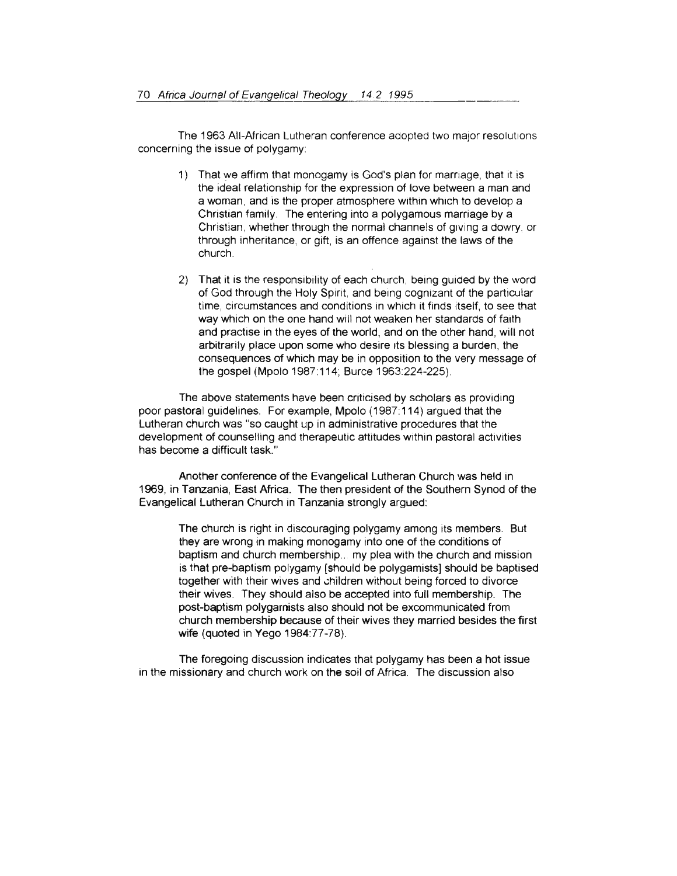The 1963 All-African Lutheran conference adopted two major resolutions concerning the issue of polygamy

- 1) That we affirm that monogamy is God's plan for marriage, that it is the ideal relationship for the expression of love between a man and a woman, and is the proper atmosphere within which to develop a Christian family. The entering into a polygamous marriage by a Christian, whether through the normal channels of giving a dowry, or through inheritance, or gift, is an offence against the laws of the church.
- 2) That it is the responsibility of each church, being guided by the word of God through the Holy Spirit, and being cognizant of the particular time, circumstances and conditions in which it finds itself, to see that way which on the one hand will not weaken her standards of faith and practise in the eyes of the world, and on the other hand, will not arbitrarily place upon some who desire 1ts blessing a burden, the consequences of which may be in opposition to the very message of the gospel (Mpolo 1987: 114; Burce 1963:224-225)

The above statements have been criticised by scholars as providing poor pastoral guidelines. For example, Mpolo (1987:114) argued that the Lutheran church was "so caught up in administrative procedures that the development of counselling and therapeutic attitudes within pastoral activities has become a difficult task."

Another conference of the Evangelical Lutheran Church was held in 1969, in Tanzania, East Africa. The then president of the Southern Synod of the Evangelical Lutheran Church in Tanzania strongly argued:

The church is right in discouraging polygamy among its members. But they are wrong in making monogamy into one of the conditions of baptism and church membership.. my plea with the church and mission is that pre-baptism polygamy (should be polygamists] should be baptised together with their wives and children without being forced to divorce their wives. They should also be accepted into full membership. The post-baptism polygamists also should not be excommunicated from church membership because of their wives they married besides the first wife (quoted in Yego 1984:77 -78).

The foregoing discussion indicates that polygamy has been a hot issue in the missionary and church work on the soil of Africa. The discussion also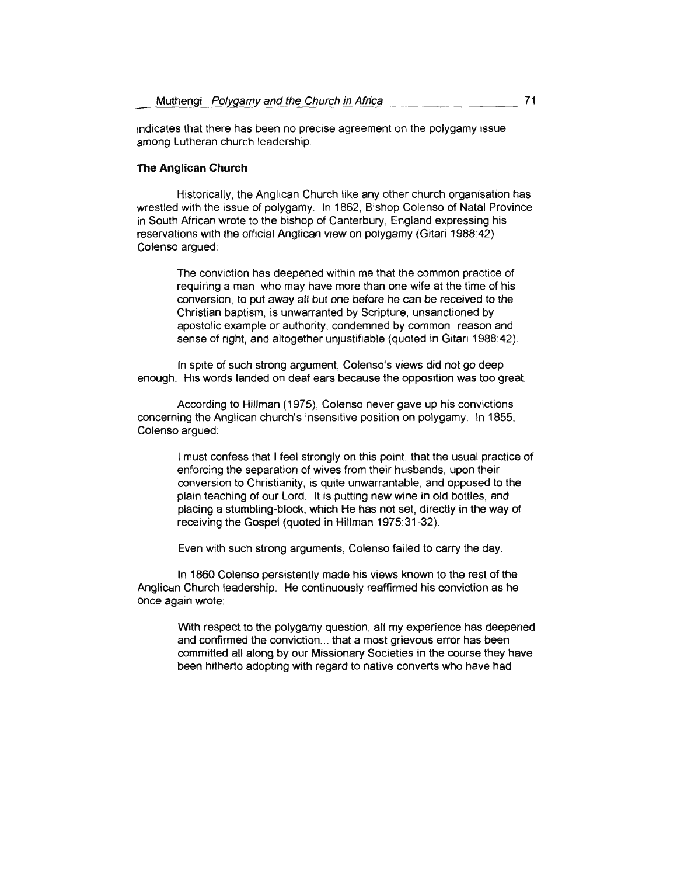indicates that there has been no precise agreement on the polygamy issue among Lutheran church leadership

### **The Anglican Church**

Historically, the Anglican Church like any other church organisation has wrestled with the issue of polygamy. In 1862, Bishop Colenso of Natal Province in South African wrote to the bishop of Canterbury, England expressing his reservations with the official Anglican view on polygamy (Gitari 1988:42) Colenso argued:

> The conviction has deepened within me that the common practice of requiring a man, who may have more than one wife at the time of his conversion, to put away all but one before he can be received to the Christian baptism, is unwarranted by Scripture, unsanctioned by apostolic example or authority, condemned by common reason and sense of right, and altogether unjustifiable (quoted in Gitari 1988:42).

In spite of such strong argument, Colenso's views did not go deep enough. His words landed on deaf ears because the opposition was too great

According to Hillman (1975), Colenso never gave up his convictions concerning the Anglican church's insensitive position on polygamy. In 1855, Colenso argued:

> I must confess that I feel strongly on this point, that the usual practice of enforcing the separation of wives from their husbands, upon their conversion to Christianity, is quite unwarrantable, and opposed to the plain teaching of our Lord. lt is putting new wine in old bottles, and placing a stumbling-block, which He has not set, directly in the way of receiving the Gospel (quoted in Hillman 1975:31-32).

Even with such strong arguments, Colenso failed to carry the day.

In 1860 Colenso persistently made his views known to the rest of the Anglican Church leadership. He continuously reaffirmed his conviction as he once again wrote:

> With respect to the polygamy question, all my experience has deepened and confirmed the conviction... that a most grievous error has been committed all along by our Missionary Societies in the course they have been hitherto adopting with regard to native converts who have had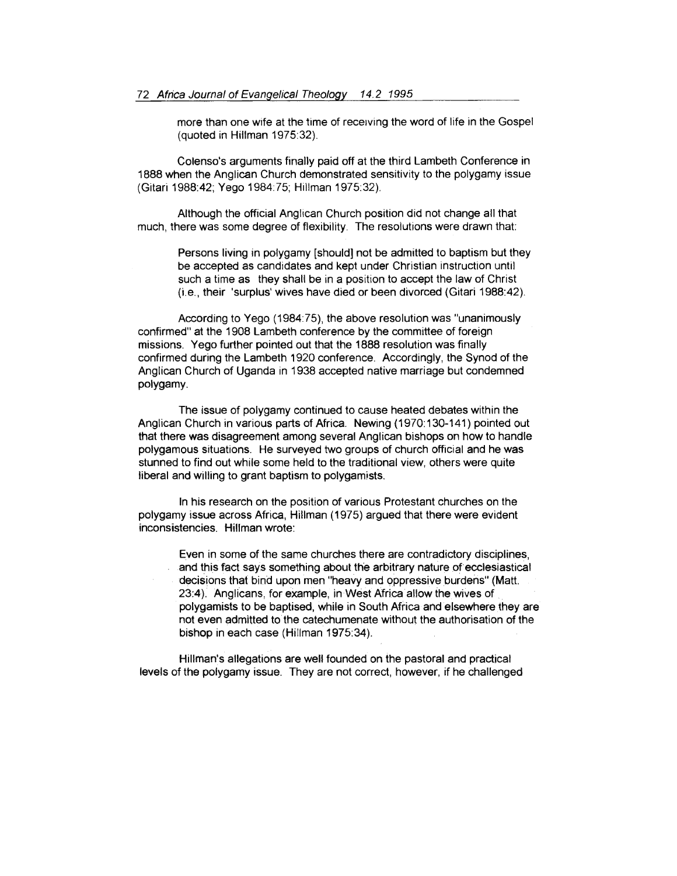more than one wife at the time of receiving the word of life in the Gospel (quoted in Hillman 1975:32).

Colenso's arguments finally paid off at the third Lambeth Conference in 1888 when the Anglican Church demonstrated sensitivity to the polygamy issue (Gitari 1988:42; Yego 1984:75; Hillman 1975:32).

Although the official Anglican Church position did not change all that much, there was some degree of flexibility. The resolutions were drawn that:

> Persons living in polygamy [should] not be admitted to baptism but they be accepted as candidates and kept under Christian instruction until such a time as they shall be in a position to accept the law of Christ (i.e., their 'surplus' wives have died or been divorced (Gitari 1988:42).

According to Yego (1984:75), the above resolution was "unanimously confirmed" at the 1908 Lambeth conference by the committee of foreign missions. Yego further pointed out that the 1888 resolution was finally confirmed during the Lambeth 1920 conference. Accordingly, the Synod of the Anglican Church of Uganda in 1938 accepted native marriage but condemned polygamy.

The issue of polygamy continued to cause heated debates within the Anglican Church in various parts of Africa. Newing ( 1970: 130-141) pointed out that there was disagreement among several Anglican bishops on how to handle polygamous situations. He surveyed two groups of church official and he was stunned to find out while some held to the traditional view, others were quite liberal and willing to grant baptism to polygamists.

In his research on the position of various Protestant churches on the polygamy issue across Africa, Hillman (1975) argued that there were evident inconsistencies. Hillman wrote:

Even in some of the same churches there are contradictory disciplines, and this fact says something about the arbitrary nature of ecclesiastical decisions that bind upon men "heavy and oppressive burdens" {Matt. 23:4). Anglicans, for example, in West Africa allow the wives of polygamists to be baptised, while in South Africa and elsewhere they are not even admitted to the catechumenate without the authorisation of the bishop in each case (Hillman 1975:34).

Hillman's allegations are well founded on the pastoral and practical levels of the polygamy issue. They are not correct, however, if he challenged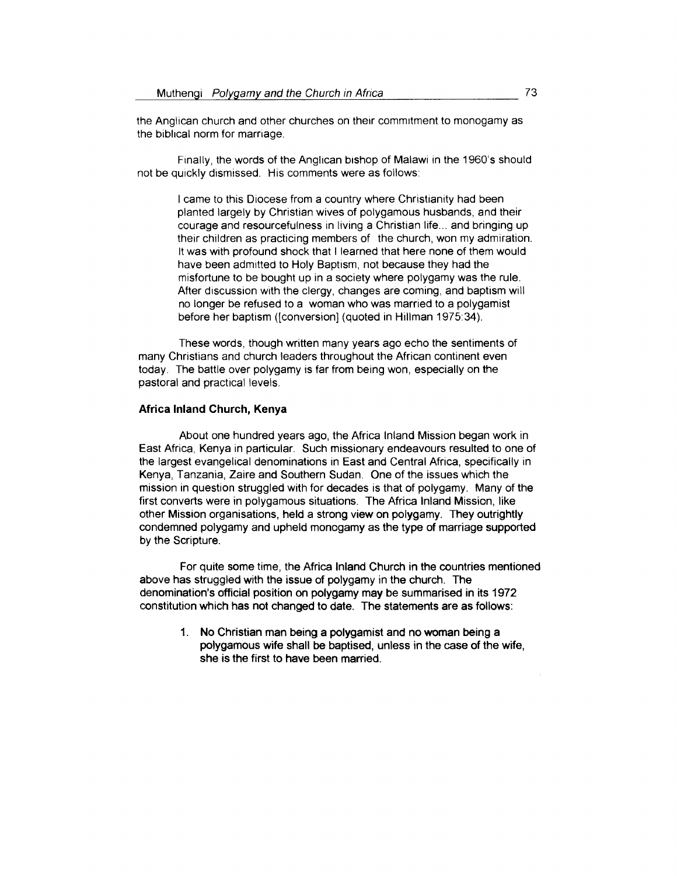the Anglican church and other churches on their commitment to monogamy as the biblical norm for marriage.

Finally, the words of the Anglican bishop of Malawi in the 1960's should not be quickly dismissed. His comments were as follows:

I came to this Diocese from a country where Christianity had been planted largely by Christian wives of polygamous husbands, and their courage and resourcefulness in living a Christian life ... and bringing up their children as practicing members of the church, won my admiration. It was with profound shock that I learned that here none of them would have been admitted to Holy Baptism, not because they had the misfortune to be bought up in a society where polygamy was the rule. After discussion with the clergy, changes are coming, and baptism will no longer be refused to a woman who was married to a polygamist before her baptism ([conversion) (quoted in Hillman 1975:34).

These words, though written many years ago echo the sentiments of many Christians and church leaders throughout the African continent even today. The battle over polygamy is far from being won, especially on the pastoral and practical levels.

#### Africa Inland Church, Kenya

About one hundred years ago, the Africa Inland Mission began work in East Africa, Kenya in particular. Such missionary endeavours resulted to one of the largest evangelical denominations in East and Central Africa, specifically in Kenya, Tanzania, Zaire and Southern Sudan. One of the issues which the mission in question struggled with for decades is that of polygamy. Many of the first converts were in polygamous situations. The Africa Inland Mission, like other Mission organisations, held a strong view on polygamy. They outrightly condemned polygamy and upheld monogamy as the type of marriage supported by the Scripture.

For quite some time, the Africa Inland Church in the countries mentioned above has struggled with the issue of polygamy in the church. The denomination's official position on polygamy may be summarised in its 1972 constitution which has not changed to date. The statements are as follows:

> 1. No Christian man being a polygamist and no woman being a polygamous wife shall be baptised, unless in the case of the wife, she is the first to have been married.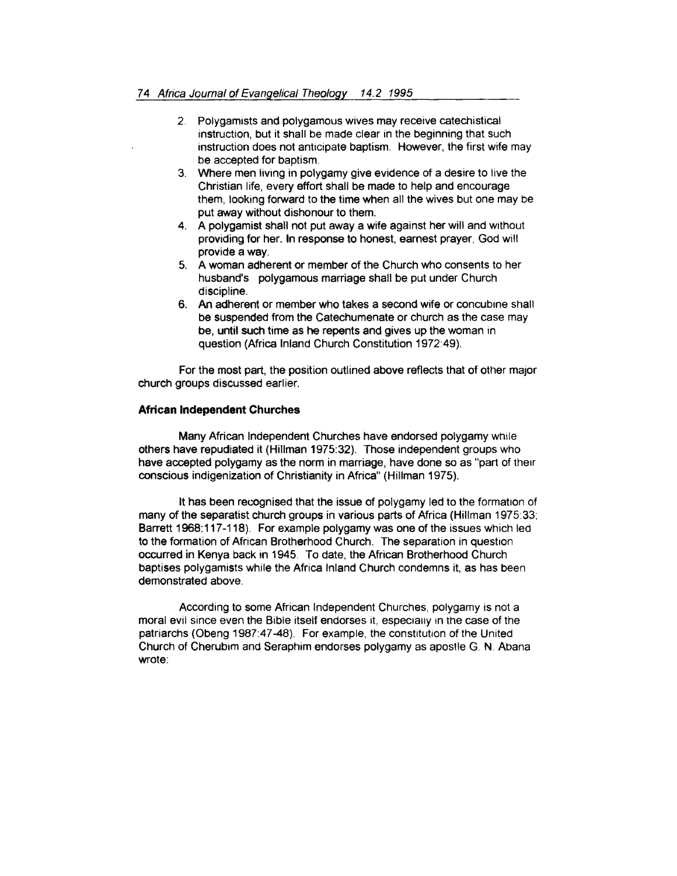- 2. Polygamists and polygamous wives may receive catechistical instruction, but it shall be made clear in the beginning that such instruction does not anticipate baptism. However, the first wife may be accepted for baptism.
- 3. Where men living in polygamy give evidence of a desire to live the Christian life, every effort shall be made to help and encourage them, looking forward to the time when all the wives but one may be put away without dishonour to them.
- 4. A polygamist shall not put away a wife against her will and Without providing for her. In response to honest, earnest prayer, God will provide a way.
- 5. A woman adherent or member of the Church who consents to her husband's polygamous marriage shall be put under Church discipline.
- 6. An adherent or member who takes a second wife or concubine shall be suspended from the Catechumenate or church as the case may be, until such time as he repents and gives up the woman in question (Africa Inland Church Constitution 1972:49).

For the most part, the position outlined above reflects that of other major church groups discussed earlier.

## **African Independent Churches**

Many African Independent Churches have endorsed polygamy while others have repudiated it (Hillman 1975:32). Those independent groups who have accepted polygamy as the norm in marriage, have done so as "part of their conscious indigenization of Christianity in Africa" (Hillman 1975).

lt has been recognised that the issue of polygamy led to the formation of many of the separatist church groups in various parts of Africa (Hillman 1975:33: Barrett 1968:117 -118). For example polygamy was one of the issues which led to the formation of African Brotherhood Church. The separation in question occurred in Kenya back in 1945. To date, the African Brotherhood Church baptises polygamists while the Africa Inland Church condemns it, as has been demonstrated above.

According to some African Independent Churches, polygamy is not a moral evil since even the Bible itself endorses it, especially in the case of the patriarchs (Obeng 1987:47-48). For example, the constitution of the United Church of Cherubim and Seraphim endorses polygamy as apostle G. N. Abana wrote: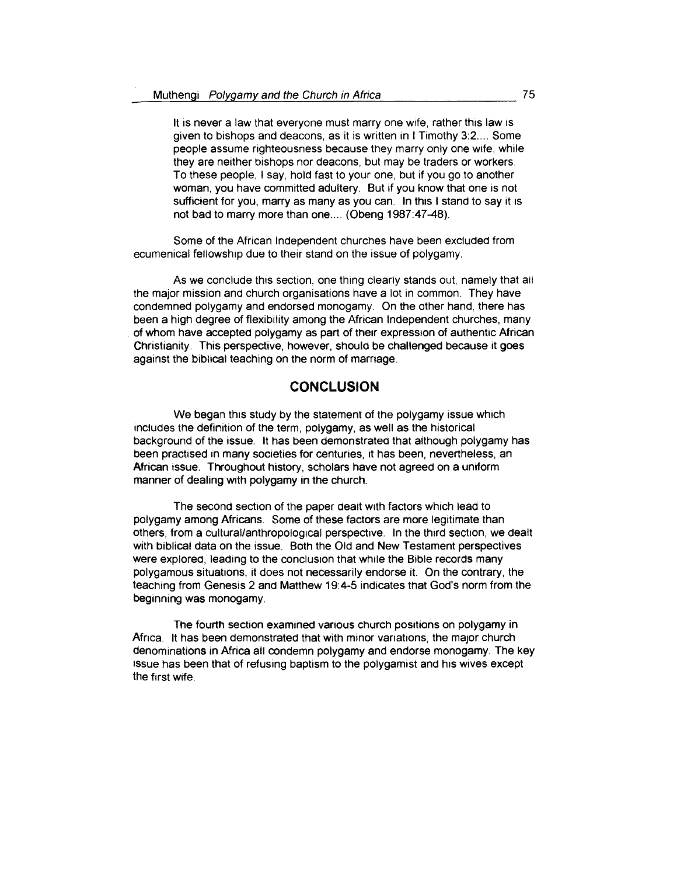It is never a law that everyone must marry one wife, rather this law is given to bishops and deacons, as it is written in I Timothy 3:2.... Some people assume righteousness because they marry only one wife, while they are neither bishops nor deacons, but may be traders or workers. To these people, I say, hold fast to your one, but if you go to another woman, you have committed adultery. But if you know that one is not sufficient for you, marry as many as you can. In this I stand to say it is not bad to marry more than one.... (Obeng 1987:47-48).

Some of the African Independent churches have been excluded from ecumenical fellowship due to their stand on the issue of polygamy.

As we conclude this section, one thing clearly stands out, namely that ali the major mission and church organisations have a lot in common. They have condemned polygamy and endorsed monogamy. On the other hand, there has been a high degree of flexibility among the African Independent churches, many of whom have accepted polygamy as part of their expression of authentic African Christianity. This perspective, however, should be challenged because it goes against the biblical teaching on the norm of marriage.

# **CONCLUSION**

We began this study by the statement of the polygamy issue which tncludes the definition of the term, polygamy, as well as the historical background of the issue. lt has been demonstratea that although polygamy has been practised in many societies for centuries, it has been, nevertheless, an African issue. Throughout history, scholars have not agreed on a uniform manner of dealing with polygamy in the church.

The second section of the paper dealt with factors which lead to polygamy among Africans. Some of these factors are more legitimate than others, from a cultural/anthropological perspective. In the third section, we dealt with biblical data on the issue. Both the Old and New Testament perspectives were explored, leading to the conclusion that while the Bible records many polygamous situations, it does not necessarily endorse it On the contrary, the teaching from Genesis 2 and Matthew 19:4-5 indicates that God's norm from the beginning was monogamy.

Tne fourth section examined various church positions on polygamy in Africa. It has been demonstrated that with minor variations, the major church denominations in Africa all condemn polygamy and endorse monogamy. The key issue has been that of refusing baptism to the polygamist and his wives except the first wife.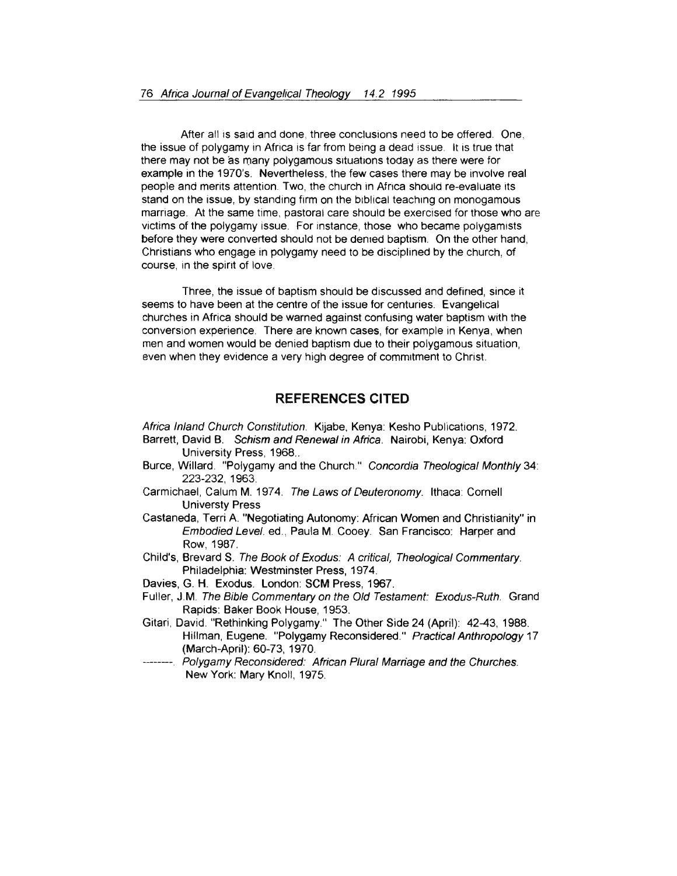After all is said and done, three conclusions need to be offered. One, the issue of polygamy in Africa is far from being a dead issue. lt is true that there may not be as many polygamous situations today as there were for example in the 1970's. Nevertheless, the few cases there may be involve real people and merits attention Two, the church in Africa should re-evaluate its stand on the issue, by standing firm on the biblical teaching on monogamous marriage. At the same time, pastoral care should be exercised for those who are victims of the polygamy issue. For instance, those who became polygamists before they were converted should not be denied baptism. On the other hand, Christians who engage in polygamy need to be disciplined by the church, of course, in the spint of love.

Three, the issue of baptism should be discussed and defined, since it seems to have been at the centre of the issue for centuries. Evangelical churches in Africa should be warned against confusing water baptism with the conversion experience. There are known cases, for example in Kenya, when men and women would be denied baptism due to their polygamous situation, even when they evidence a very high degree of commitment to Christ.

## **REFERENCES CITED**

Africa Inland Church Constitution. Kijabe, Kenya: Kesho Publications, 1972. Barrett, David B. Schism and Renewal in Africa. Nairobi, Kenya: Oxford University Press, 1968 ..

- Burce, Willard. "Polygamy and the Church." Concordia Theological Monthly 34: 223-232, 1963.
- Carmichael, Calum M. 1974. The Laws of Deuteronomy. Ithaca: Cornell Universty Press
- Castaneda, Terri A. "Negotiating Autonomy: African Women and Christianity" in Embodied Level. ed., Paula M. Cooey. San Francisco: Harper and Row, 1987.
- Child's, Brevard S. The Book of Exodus: A critical, Theological Commentary. Philadelphia: Westminster Press, 1974.

Davies, G. H. Exodus. London: SCM Press, 1967.

- Fuller, J.M. The Bible Commentary on the Old Testament: Exodus-Ruth. Grand Rapids: Baker Book House, 1953.
- Gitari, David. "Rethinking Polygamy." The Other Side 24 (April): 42-43, 1988. Hillman, Eugene. "Polygamy Reconsidered." Practical Anthropology 17 (March-April): 60-73, 1970.
- -------. Polygamy Reconsidered: African Plural Marriage and the Churches. New York: Mary Knoll, 1975.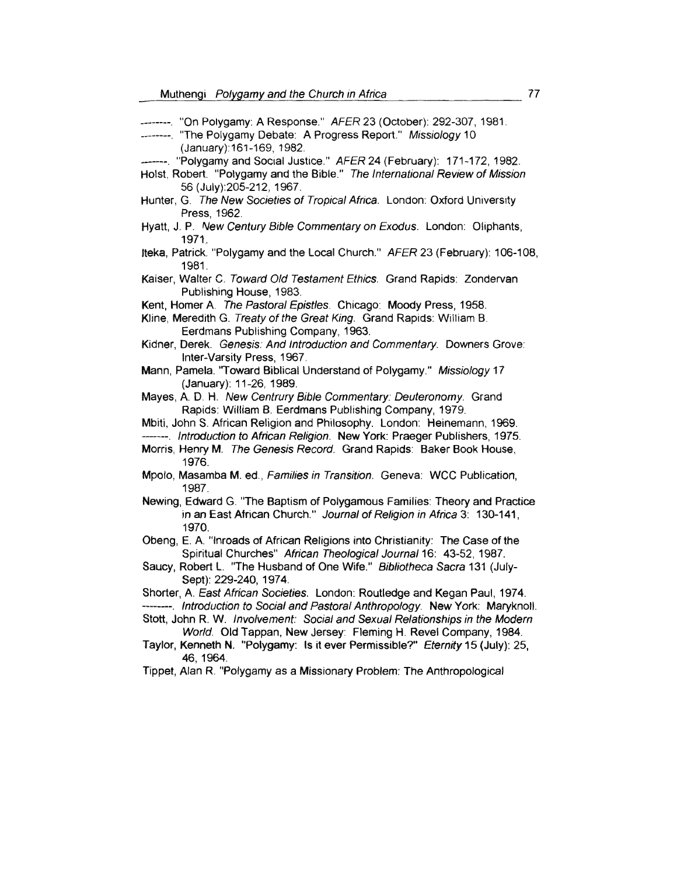| ------- "On Polygamy: A Response." AFER 23 (October): 292-307, 1981.<br>------- "The Polygamy Debate: A Progress Report." Missiology 10<br>(January): 161-169, 1982.                  |
|---------------------------------------------------------------------------------------------------------------------------------------------------------------------------------------|
| ------ "Polygamy and Social Justice." AFER 24 (February): 171-172, 1982.<br>Holst, Robert. "Polygamy and the Bible." The International Review of Mission<br>56 (July): 205-212, 1967. |
| Hunter, G. The New Societies of Tropical Africa. London: Oxford University<br>Press, 1962.                                                                                            |
| Hyatt, J. P. New Century Bible Commentary on Exodus. London: Oliphants,<br>1971.                                                                                                      |
| Iteka, Patrick. "Polygamy and the Local Church." AFER 23 (February): 106-108,<br>1981.                                                                                                |
| Kaiser, Walter C. Toward Old Testament Ethics. Grand Rapids: Zondervan<br>Publishing House, 1983.                                                                                     |
| Kent, Homer A. The Pastoral Epistles. Chicago: Moody Press, 1958.<br>Kline, Meredith G. Treaty of the Great King. Grand Rapids: William B.<br>Eerdmans Publishing Company, 1963.      |
| Kidner, Derek. Genesis: And Introduction and Commentary. Downers Grove:<br>Inter-Varsity Press, 1967.                                                                                 |
| Mann, Pamela. "Toward Biblical Understand of Polygamy." Missiology 17<br>(January): 11-26, 1989.                                                                                      |
| Mayes, A. D. H. New Centrury Bible Commentary: Deuteronomy. Grand<br>Rapids: William B. Eerdmans Publishing Company, 1979.                                                            |
| Mbiti, John S. African Religion and Philosophy. London: Heinemann, 1969.<br>-------. Introduction to African Religion. New York: Praeger Publishers, 1975.                            |
| Morris, Henry M. The Genesis Record. Grand Rapids: Baker Book House,<br>1976.                                                                                                         |
| Mpolo, Masamba M. ed., Families in Transition. Geneva: WCC Publication,<br>1987.                                                                                                      |
| Newing, Edward G. "The Baptism of Polygamous Families: Theory and Practice<br>in an East African Church." Journal of Religion in Africa 3: 130-141,<br>1970.                          |
| Obeng, E. A. "Inroads of African Religions into Christianity: The Case of the<br>Spiritual Churches" African Theological Journal 16: 43-52, 1987.                                     |
| Saucy, Robert L. "The Husband of One Wife." Bibliotheca Sacra 131 (July-<br>Sept): 229-240, 1974.                                                                                     |
| Shorter, A. East African Societies. London: Routledge and Kegan Paul, 1974.<br>--------. Introduction to Social and Pastoral Anthropology. New York: Maryknoll.                       |
| Stott, John R. W. Involvement: Social and Sexual Relationships in the Modern<br>World. Old Tappan, New Jersey: Fleming H. Revel Company, 1984.                                        |
| Taylor, Kenneth N. "Polygamy: Is it ever Permissible?" Eternity 15 (July): 25,                                                                                                        |

46, 1964.

Tippet, Alan R. "Polygamy as a Missionary Problem: The Anthropological